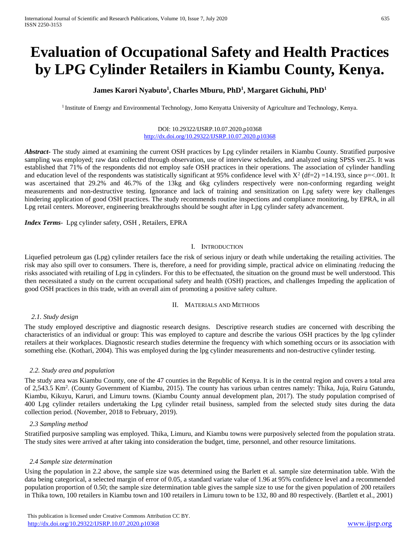# **Evaluation of Occupational Safety and Health Practices by LPG Cylinder Retailers in Kiambu County, Kenya.**

# **James Karori Nyabuto<sup>1</sup> , Charles Mburu, PhD<sup>1</sup> , Margaret Gichuhi, PhD<sup>1</sup>**

<sup>1</sup> Institute of Energy and Environmental Technology, Jomo Kenyatta University of Agriculture and Technology, Kenya.

#### DOI: 10.29322/IJSRP.10.07.2020.p10368 <http://dx.doi.org/10.29322/IJSRP.10.07.2020.p10368>

*Abstract***-** The study aimed at examining the current OSH practices by Lpg cylinder retailers in Kiambu County. Stratified purposive sampling was employed; raw data collected through observation, use of interview schedules, and analyzed using SPSS ver.25. It was established that 71% of the respondents did not employ safe OSH practices in their operations. The association of cylinder handling and education level of the respondents was statistically significant at 95% confidence level with  $X^2$  (df=2) =14.193, since p=<.001. It was ascertained that 29.2% and 46.7% of the 13kg and 6kg cylinders respectively were non-conforming regarding weight measurements and non-destructive testing. Ignorance and lack of training and sensitization on Lpg safety were key challenges hindering application of good OSH practices. The study recommends routine inspections and compliance monitoring, by EPRA, in all Lpg retail centers. Moreover, engineering breakthroughs should be sought after in Lpg cylinder safety advancement.

*Index Terms*- Lpg cylinder safety, OSH , Retailers, EPRA

#### I. INTRODUCTION

Liquefied petroleum gas (Lpg) cylinder retailers face the risk of serious injury or death while undertaking the retailing activities. The risk may also spill over to consumers. There is, therefore, a need for providing simple, practical advice on eliminating /reducing the risks associated with retailing of Lpg in cylinders. For this to be effectuated, the situation on the ground must be well understood. This then necessitated a study on the current occupational safety and health (OSH) practices, and challenges Impeding the application of good OSH practices in this trade, with an overall aim of promoting a positive safety culture.

#### II. MATERIALS AND METHODS

# *2.1. Study design*

The study employed descriptive and diagnostic research designs. Descriptive research studies are concerned with describing the characteristics of an individual or group: This was employed to capture and describe the various OSH practices by the lpg cylinder retailers at their workplaces. Diagnostic research studies determine the frequency with which something occurs or its association with something else. (Kothari, 2004). This was employed during the lpg cylinder measurements and non-destructive cylinder testing.

#### *2.2. Study area and population*

The study area was Kiambu County, one of the 47 counties in the Republic of Kenya. It is in the central region and covers a total area of 2,543.5 Km<sup>2</sup>. (County Government of Kiambu, 2015). The county has various urban centres namely: Thika, Juja, Ruiru Gatundu, Kiambu, Kikuyu, Karuri, and Limuru towns. (Kiambu County annual development plan, 2017). The study population comprised of 400 Lpg cylinder retailers undertaking the Lpg cylinder retail business, sampled from the selected study sites during the data collection period. (November, 2018 to February, 2019).

#### *2.3 Sampling method*

Stratified purposive sampling was employed. Thika, Limuru, and Kiambu towns were purposively selected from the population strata. The study sites were arrived at after taking into consideration the budget, time, personnel, and other resource limitations.

#### *2.4 Sample size determination*

Using the population in 2.2 above, the sample size was determined using the Barlett et al. sample size determination table. With the data being categorical, a selected margin of error of 0.05, a standard variate value of 1.96 at 95% confidence level and a recommended population proportion of 0.50; the sample size determination table gives the sample size to use for the given population of 200 retailers in Thika town, 100 retailers in Kiambu town and 100 retailers in Limuru town to be 132, 80 and 80 respectively. (Bartlett et al., 2001)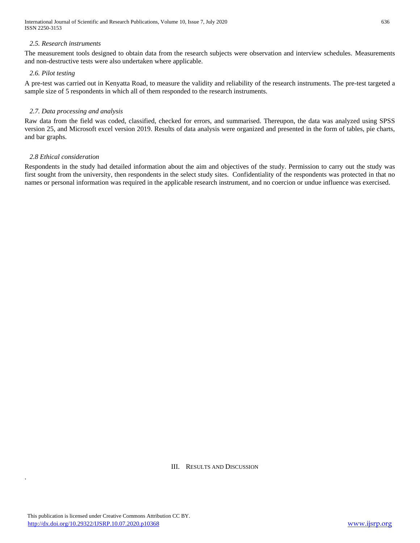International Journal of Scientific and Research Publications, Volume 10, Issue 7, July 2020 636 ISSN 2250-3153

#### *2.5. Research instruments*

The measurement tools designed to obtain data from the research subjects were observation and interview schedules. Measurements and non-destructive tests were also undertaken where applicable.

### *2.6. Pilot testing*

A pre-test was carried out in Kenyatta Road, to measure the validity and reliability of the research instruments. The pre-test targeted a sample size of 5 respondents in which all of them responded to the research instruments.

# *2.7. Data processing and analysis*

Raw data from the field was coded, classified, checked for errors, and summarised. Thereupon, the data was analyzed using SPSS version 25, and Microsoft excel version 2019. Results of data analysis were organized and presented in the form of tables, pie charts, and bar graphs.

#### *2.8 Ethical consideration*

Respondents in the study had detailed information about the aim and objectives of the study. Permission to carry out the study was first sought from the university, then respondents in the select study sites. Confidentiality of the respondents was protected in that no names or personal information was required in the applicable research instrument, and no coercion or undue influence was exercised.

#### III. RESULTS AND DISCUSSION

.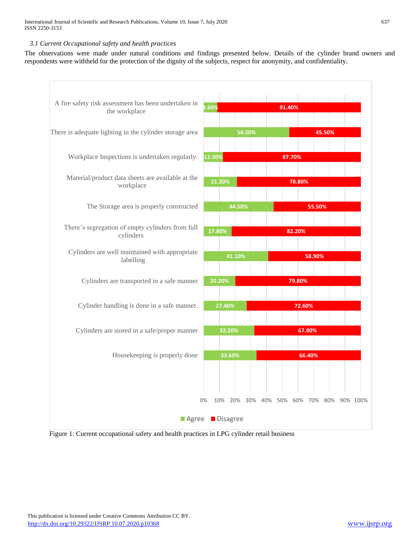International Journal of Scientific and Research Publications, Volume 10, Issue 7, July 2020 637 ISSN 2250-3153

*3.1 Current Occupational safety and health practices*

The observations were made under natural conditions and findings presented below. Details of the cylinder brand owners and respondents were withheld for the protection of the dignity of the subjects, respect for anonymity, and confidentiality.



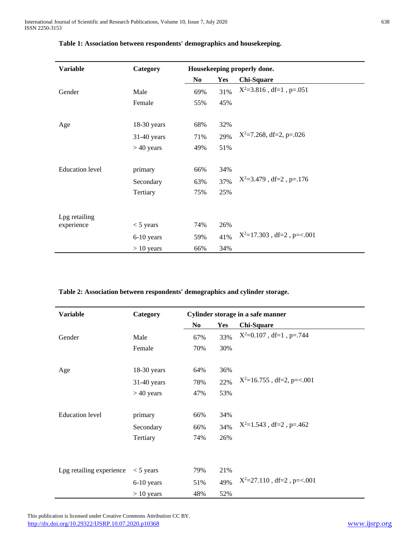| <b>Variable</b>        | Category      | Housekeeping properly done. |     |                              |  |  |
|------------------------|---------------|-----------------------------|-----|------------------------------|--|--|
|                        |               | N <sub>0</sub>              | Yes | <b>Chi-Square</b>            |  |  |
| Gender                 | Male          | 69%                         | 31% | $X^2=3.816$ , df=1, p=.051   |  |  |
|                        | Female        | 55%                         | 45% |                              |  |  |
|                        |               |                             |     |                              |  |  |
| Age                    | $18-30$ years | 68%                         | 32% |                              |  |  |
|                        | 31-40 years   | 71%                         | 29% | $X^2=7.268$ , df=2, p=.026   |  |  |
|                        | $>40$ years   | 49%                         | 51% |                              |  |  |
|                        |               |                             |     |                              |  |  |
| <b>Education</b> level | primary       | 66%                         | 34% |                              |  |  |
|                        | Secondary     | 63%                         | 37% | $X^2=3.479$ , df=2, p=.176   |  |  |
|                        | Tertiary      | 75%                         | 25% |                              |  |  |
|                        |               |                             |     |                              |  |  |
| Lpg retailing          |               |                             |     |                              |  |  |
| experience             | $<$ 5 years   | 74%                         | 26% |                              |  |  |
|                        | 6-10 years    | 59%                         | 41% | $X^2=17.303$ , df=2, p=<.001 |  |  |
|                        | $> 10$ years  | 66%                         | 34% |                              |  |  |

# **Table 1: Association between respondents' demographics and housekeeping.**

**Table 2: Association between respondents' demographics and cylinder storage.** 

| <b>Variable</b>          | Category      | Cylinder storage in a safe manner |     |                                |  |  |
|--------------------------|---------------|-----------------------------------|-----|--------------------------------|--|--|
|                          |               | N <sub>0</sub>                    | Yes | <b>Chi-Square</b>              |  |  |
| Gender                   | Male          | 67%                               | 33% | $X^2=0.107$ , df=1, p=.744     |  |  |
|                          | Female        | 70%                               | 30% |                                |  |  |
|                          |               |                                   |     |                                |  |  |
| Age                      | $18-30$ years | 64%                               | 36% |                                |  |  |
|                          | $31-40$ years | 78%                               | 22% | $X^2=16.755$ , df=2, p=<.001   |  |  |
|                          | $> 40$ years  | 47%                               | 53% |                                |  |  |
|                          |               |                                   |     |                                |  |  |
| <b>Education</b> level   | primary       | 66%                               | 34% |                                |  |  |
|                          | Secondary     | 66%                               | 34% | $X^2=1.543$ , df=2, p=.462     |  |  |
|                          | Tertiary      | 74%                               | 26% |                                |  |  |
|                          |               |                                   |     |                                |  |  |
|                          |               |                                   |     |                                |  |  |
| Lpg retailing experience | $<$ 5 years   | 79%                               | 21% |                                |  |  |
|                          | 6-10 years    | 51%                               | 49% | $X^2 = 27.110$ , df=2, p=<.001 |  |  |
|                          | $> 10$ years  | 48%                               | 52% |                                |  |  |

 This publication is licensed under Creative Commons Attribution CC BY. <http://dx.doi.org/10.29322/IJSRP.10.07.2020.p10368> [www.ijsrp.org](http://ijsrp.org/)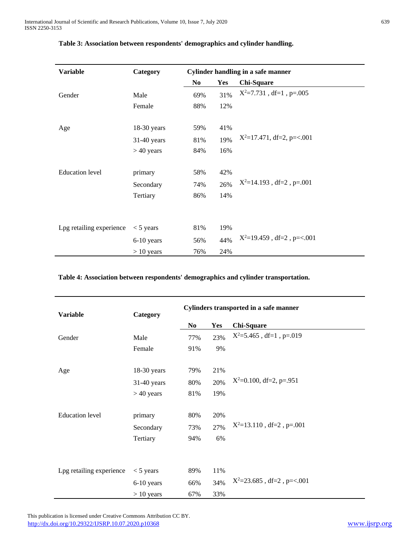| <b>Variable</b>          | Category      | <b>Cylinder handling in a safe manner</b> |     |                              |  |  |
|--------------------------|---------------|-------------------------------------------|-----|------------------------------|--|--|
|                          |               | N <sub>0</sub>                            | Yes | <b>Chi-Square</b>            |  |  |
| Gender                   | Male          | 69%                                       | 31% | $X^2 = 7.731$ , df=1, p=.005 |  |  |
|                          | Female        | 88%                                       | 12% |                              |  |  |
|                          |               |                                           |     |                              |  |  |
| Age                      | 18-30 years   | 59%                                       | 41% |                              |  |  |
|                          | $31-40$ years | 81%                                       | 19% | $X^2=17.471$ , df=2, p=<.001 |  |  |
|                          | $>40$ years   | 84%                                       | 16% |                              |  |  |
|                          |               |                                           |     |                              |  |  |
| <b>Education</b> level   | primary       | 58%                                       | 42% |                              |  |  |
|                          | Secondary     | 74%                                       | 26% | $X^2=14.193$ , df=2, p=.001  |  |  |
|                          | Tertiary      | 86%                                       | 14% |                              |  |  |
|                          |               |                                           |     |                              |  |  |
|                          |               |                                           |     |                              |  |  |
| Lpg retailing experience | $<$ 5 years   | 81%                                       | 19% |                              |  |  |
|                          | 6-10 years    | 56%                                       | 44% | $X^2=19.459$ , df=2, p=<.001 |  |  |
|                          | $> 10$ years  | 76%                                       | 24% |                              |  |  |

## **Table 3: Association between respondents' demographics and cylinder handling.**

**Table 4: Association between respondents' demographics and cylinder transportation.** 

| <b>Variable</b>          | Cylinders transported in a safe manner |                       |     |                                |  |  |  |
|--------------------------|----------------------------------------|-----------------------|-----|--------------------------------|--|--|--|
|                          |                                        | Yes<br>N <sub>0</sub> |     | <b>Chi-Square</b>              |  |  |  |
| Gender                   | Male                                   | 77%                   | 23% | $X^2 = 5.465$ , df=1, p=.019   |  |  |  |
|                          | Female                                 | 91%                   | 9%  |                                |  |  |  |
|                          |                                        |                       |     |                                |  |  |  |
| Age                      | 18-30 years                            | 79%                   | 21% |                                |  |  |  |
|                          | 31-40 years                            | 80%                   | 20% | $X^2=0.100$ , df=2, p=.951     |  |  |  |
|                          | $> 40$ years                           | 81%                   | 19% |                                |  |  |  |
|                          |                                        |                       |     |                                |  |  |  |
| <b>Education</b> level   | primary                                | 80%                   | 20% |                                |  |  |  |
|                          | Secondary                              | 73%                   | 27% | $X^2=13.110$ , df=2, p=.001    |  |  |  |
|                          | Tertiary                               | 94%                   | 6%  |                                |  |  |  |
|                          |                                        |                       |     |                                |  |  |  |
|                          |                                        |                       |     |                                |  |  |  |
| Lpg retailing experience | $<$ 5 years                            | 89%                   | 11% |                                |  |  |  |
|                          | 6-10 years                             | 66%                   | 34% | $X^2 = 23.685$ , df=2, p=<.001 |  |  |  |
|                          | $> 10$ years                           | 67%                   | 33% |                                |  |  |  |

 This publication is licensed under Creative Commons Attribution CC BY. <http://dx.doi.org/10.29322/IJSRP.10.07.2020.p10368> [www.ijsrp.org](http://ijsrp.org/)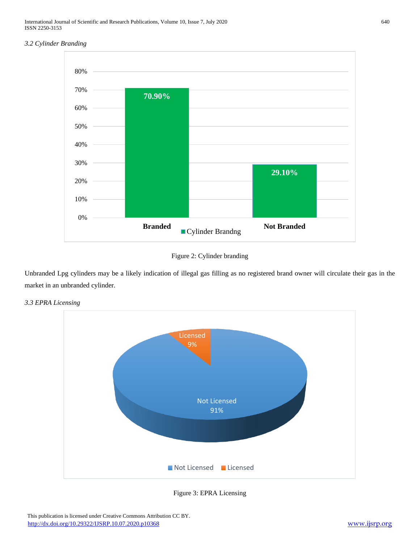

Figure 2: Cylinder branding

Unbranded Lpg cylinders may be a likely indication of illegal gas filling as no registered brand owner will circulate their gas in the market in an unbranded cylinder.



*3.3 EPRA Licensing*

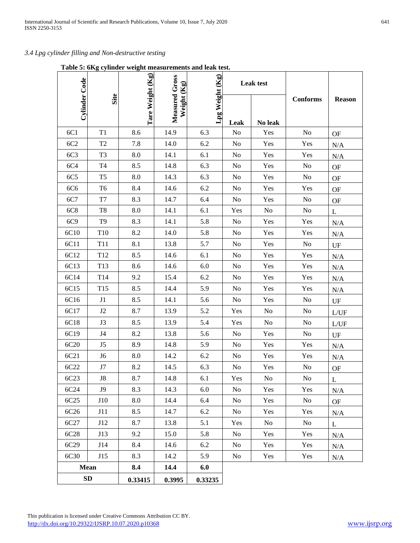# *3.4 Lpg cylinder filling and Non-destructive testing*

**Table 5: 6Kg cylinder weight measurements and leak test.**

|                  |                 |                  | $\mathbf{Kg}$                 |            | <b>Leak test</b> |                |                 |               |
|------------------|-----------------|------------------|-------------------------------|------------|------------------|----------------|-----------------|---------------|
| Cylinder Code    | Site            | Tare Weight (Kg) | Measured Gross<br>Weight (Kg) | Lpg Weight | Leak             | No leak        | <b>Conforms</b> | <b>Reason</b> |
| 6C1              | T1              | 8.6              | 14.9                          | 6.3        | No               | Yes            | N <sub>o</sub>  | <b>OF</b>     |
| 6C2              | T <sub>2</sub>  | 7.8              | 14.0                          | 6.2        | No               | Yes            | Yes             | N/A           |
| 6C <sub>3</sub>  | T <sub>3</sub>  | 8.0              | 14.1                          | 6.1        | No               | Yes            | Yes             | N/A           |
| 6C4              | T <sub>4</sub>  | 8.5              | 14.8                          | 6.3        | No               | Yes            | N <sub>0</sub>  | <b>OF</b>     |
| 6C5              | T <sub>5</sub>  | 8.0              | 14.3                          | 6.3        | No               | Yes            | N <sub>0</sub>  | <b>OF</b>     |
| 6C <sub>6</sub>  | T <sub>6</sub>  | 8.4              | 14.6                          | 6.2        | No               | Yes            | Yes             | <b>OF</b>     |
| 6C7              | T7              | 8.3              | 14.7                          | 6.4        | No               | Yes            | N <sub>o</sub>  | <b>OF</b>     |
| 6C8              | T <sub>8</sub>  | 8.0              | 14.1                          | 6.1        | Yes              | No             | $\rm No$        | L             |
| 6C9              | T <sub>9</sub>  | 8.3              | 14.1                          | 5.8        | No               | Yes            | Yes             | N/A           |
| 6C10             | T10             | 8.2              | 14.0                          | 5.8        | No               | Yes            | Yes             | N/A           |
| 6C11             | T11             | 8.1              | 13.8                          | 5.7        | No               | Yes            | N <sub>0</sub>  | UF            |
| 6C12             | T12             | 8.5              | 14.6                          | 6.1        | No               | Yes            | Yes             | N/A           |
| 6C13             | T13             | 8.6              | 14.6                          | 6.0        | No               | Yes            | Yes             | N/A           |
| 6C14             | T14             | 9.2              | 15.4                          | 6.2        | No               | Yes            | Yes             | N/A           |
| 6C15             | T <sub>15</sub> | 8.5              | 14.4                          | 5.9        | No               | Yes            | Yes             | N/A           |
| 6C16             | J1              | 8.5              | 14.1                          | 5.6        | No               | Yes            | N <sub>o</sub>  | UF            |
| 6C17             | J2              | 8.7              | 13.9                          | 5.2        | Yes              | N <sub>0</sub> | N <sub>0</sub>  | L/UF          |
| 6C18             | J3              | 8.5              | 13.9                          | 5.4        | Yes              | N <sub>o</sub> | N <sub>o</sub>  | L/UF          |
| 6C19             | J <sub>4</sub>  | 8.2              | 13.8                          | 5.6        | No               | Yes            | No              | UF            |
| 6C20             | J5              | 8.9              | 14.8                          | 5.9        | No               | Yes            | Yes             | N/A           |
| 6C21             | J <sub>6</sub>  | 8.0              | 14.2                          | 6.2        | No               | Yes            | Yes             | N/A           |
| 6C22             | J7              | 8.2              | 14.5                          | 6.3        | No               | Yes            | No              | <b>OF</b>     |
| 6C23             | ${\rm J}8$      | 8.7              | 14.8                          | 6.1        | Yes              | No             | No              | $\mathbf{L}$  |
| 6C24             | J9              | 8.3              | 14.3                          | 6.0        | N <sub>0</sub>   | Yes            | Yes             | N/A           |
| 6C25             | J10             | 8.0              | 14.4                          | 6.4        | No               | Yes            | No              | OF            |
| 6C <sub>26</sub> | J11             | 8.5              | 14.7                          | 6.2        | No               | Yes            | Yes             | $\rm N/A$     |
| 6C27             | J12             | 8.7              | 13.8                          | 5.1        | Yes              | No             | No              | $\mathbf{L}$  |
| 6C <sub>28</sub> | J13             | 9.2              | 15.0                          | 5.8        | N <sub>0</sub>   | Yes            | Yes             | N/A           |
| 6C29             | J14             | 8.4              | 14.6                          | 6.2        | No               | Yes            | Yes             | N/A           |
| 6C30             | J15             | 8.3              | 14.2                          | 5.9        | N <sub>0</sub>   | Yes            | Yes             | $\rm N/A$     |
|                  | <b>Mean</b>     | 8.4              | 14.4                          | 6.0        |                  |                |                 |               |
|                  | SD              | 0.33415          | 0.3995                        | 0.33235    |                  |                |                 |               |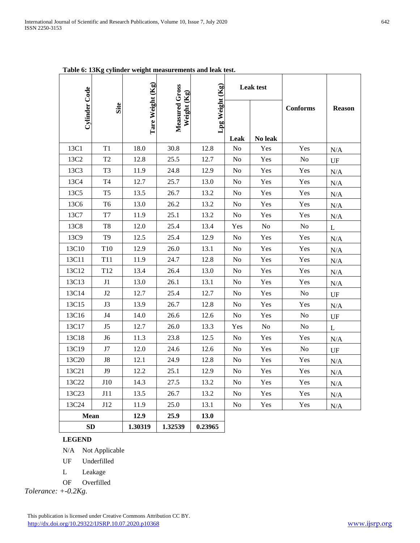|  |  |  |  | Table 6: 13Kg cylinder weight measurements and leak test. |  |  |  |
|--|--|--|--|-----------------------------------------------------------|--|--|--|
|--|--|--|--|-----------------------------------------------------------|--|--|--|

|               |                 |                  |                               |                     |                | <b>Leak test</b> |                 |               |
|---------------|-----------------|------------------|-------------------------------|---------------------|----------------|------------------|-----------------|---------------|
| Cylinder Code | Site            | Tare Weight (Kg) | Measured Gross<br>Weight (Kg) | $Lpg$ Weight $(Kg)$ | Leak           | No leak          | <b>Conforms</b> | <b>Reason</b> |
| 13C1          | T1              | 18.0             | 30.8                          | 12.8                | N <sub>o</sub> | Yes              | Yes             | N/A           |
| 13C2          | T <sub>2</sub>  | 12.8             | 25.5                          | 12.7                | N <sub>0</sub> | Yes              | No              | UF            |
| 13C3          | T <sub>3</sub>  | 11.9             | 24.8                          | 12.9                | No             | Yes              | Yes             | N/A           |
| 13C4          | T <sub>4</sub>  | 12.7             | 25.7                          | 13.0                | N <sub>o</sub> | Yes              | Yes             | N/A           |
| 13C5          | T <sub>5</sub>  | 13.5             | 26.7                          | 13.2                | N <sub>0</sub> | Yes              | Yes             | N/A           |
| 13C6          | T <sub>6</sub>  | 13.0             | 26.2                          | 13.2                | No             | Yes              | Yes             | N/A           |
| 13C7          | T7              | 11.9             | 25.1                          | 13.2                | N <sub>o</sub> | Yes              | Yes             | N/A           |
| 13C8          | T <sub>8</sub>  | 12.0             | 25.4                          | 13.4                | Yes            | No               | No              | L             |
| 13C9          | T <sub>9</sub>  | 12.5             | 25.4                          | 12.9                | No             | Yes              | Yes             | N/A           |
| 13C10         | T10             | 12.9             | 26.0                          | 13.1                | N <sub>0</sub> | Yes              | Yes             | N/A           |
| 13C11         | T11             | 11.9             | 24.7                          | 12.8                | No             | Yes              | Yes             | N/A           |
| 13C12         | T <sub>12</sub> | 13.4             | 26.4                          | 13.0                | No             | Yes              | Yes             | N/A           |
| 13C13         | J1              | 13.0             | 26.1                          | 13.1                | No             | Yes              | Yes             | N/A           |
| 13C14         | J2              | 12.7             | 25.4                          | 12.7                | No             | Yes              | No              | UF            |
| 13C15         | J3              | 13.9             | 26.7                          | 12.8                | No             | Yes              | Yes             | N/A           |
| 13C16         | J <sub>4</sub>  | 14.0             | 26.6                          | 12.6                | N <sub>o</sub> | Yes              | No              | UF            |
| 13C17         | J5              | 12.7             | 26.0                          | 13.3                | Yes            | No               | No              | L             |
| 13C18         | J <sub>6</sub>  | 11.3             | 23.8                          | 12.5                | N <sub>o</sub> | Yes              | Yes             | N/A           |
| 13C19         | J7              | 12.0             | 24.6                          | 12.6                | No             | Yes              | N <sub>o</sub>  | UF            |
| 13C20         | J8              | 12.1             | 24.9                          | 12.8                | N <sub>o</sub> | Yes              | Yes             | N/A           |
| 13C21         | J9              | 12.2             | 25.1                          | 12.9                | No             | Yes              | Yes             | N/A           |
| 13C22         | <b>J10</b>      | 14.3             | 27.5                          | 13.2                | No             | Yes              | Yes             | N/A           |
| 13C23         | J11             | 13.5             | 26.7                          | 13.2                | No             | Yes              | Yes             | N/A           |
| 13C24         | J12             | 11.9             | 25.0                          | 13.1                | N <sub>o</sub> | Yes              | Yes             | N/A           |
| Mean          |                 | 12.9             | 25.9                          | 13.0                |                |                  |                 |               |
| <b>SD</b>     |                 | 1.30319          | 1.32539                       | 0.23965             |                |                  |                 |               |

# **LEGEND**

N/A Not Applicable

- UF Underfilled
- L Leakage
- OF Overfilled

*Tolerance: +-0.2Kg.*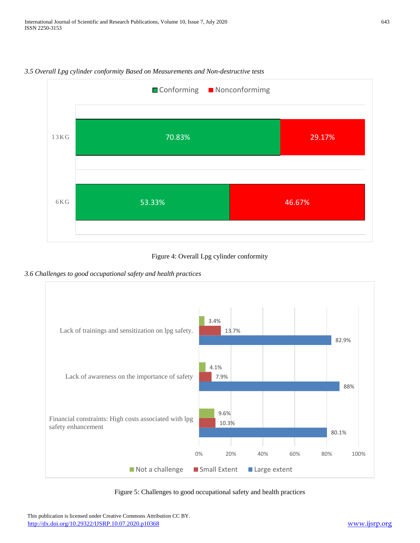

# *3.5 Overall Lpg cylinder conformity Based on Measurements and Non-destructive tests*



*3.6 Challenges to good occupational safety and health practices*



Figure 5: Challenges to good occupational safety and health practices